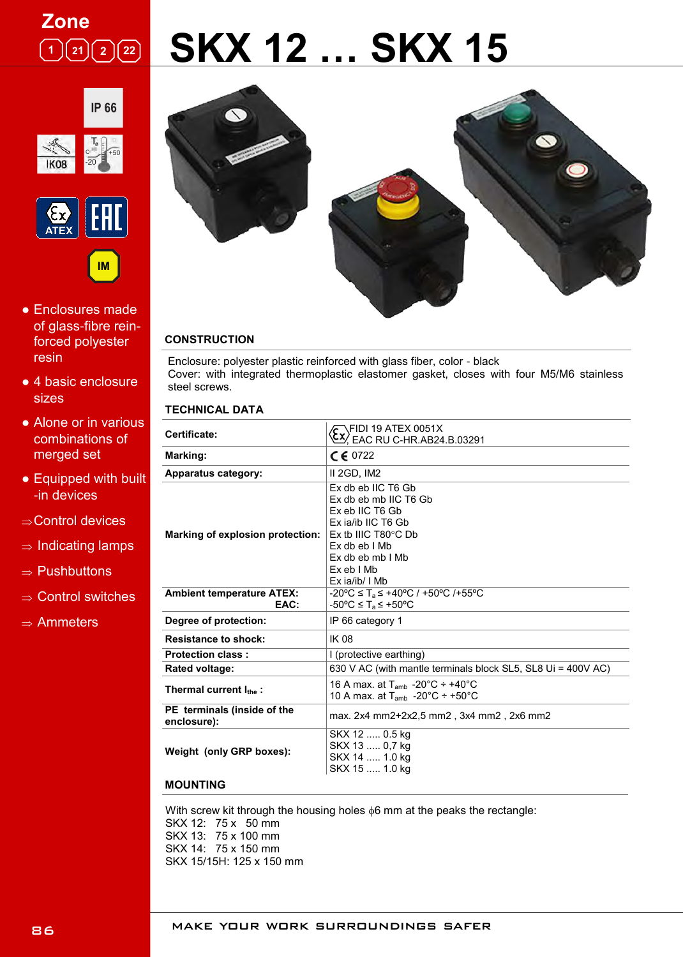## **Zone**  $\boxed{1}$   $\boxed{21}$   $\boxed{2}$   $\boxed{22}$

# **SKX 12 … SKX 15**





- Enclosures made of glass-fibre reinforced polyester resin
- 4 basic enclosure sizes
- Alone or in various combinations of merged set
- Equipped with built -in devices
- $\Rightarrow$  Control devices
- $\Rightarrow$  Indicating lamps
- $\Rightarrow$  Pushbuttons
- $\Rightarrow$  Control switches
- $\Rightarrow$  Ammeters



#### **CONSTRUCTION**

Enclosure: polyester plastic reinforced with glass fiber, color - black Cover: with integrated thermoplastic elastomer gasket, closes with four M5/M6 stainless steel screws.

#### **TECHNICAL DATA**

| <b>Certificate:</b>                        | $\sqrt{\cdot}$ FIDI 19 ATEX 0051X<br><u>CX/</u> EAC RU C-HR.AB24.B.03291                                                                                                                  |
|--------------------------------------------|-------------------------------------------------------------------------------------------------------------------------------------------------------------------------------------------|
| Marking:                                   | $C \in 0722$                                                                                                                                                                              |
| Apparatus category:                        | II 2GD, IM2                                                                                                                                                                               |
| <b>Marking of explosion protection:</b>    | Ex db eb IIC T6 Gb<br>Ex db eb mb IIC T6 Gb<br>Ex eb IIC T6 Gb<br>Ex ja/ib IIC T6 Gb<br>$Ex$ tb IIIC T80 $\degree$ C Db<br>Ex db eb I Mb<br>Ex db eb mb I Mb<br>ExebIMb<br>Ex ia/ib/ I Mb |
| <b>Ambient temperature ATEX:</b><br>EAC:   | $-20^{\circ}$ C $\leq$ T <sub>a</sub> $\leq$ +40°C / +50°C /+55°C<br>$-50^{\circ}$ C $\leq$ T <sub>a</sub> $\leq$ +50°C                                                                   |
| Degree of protection:                      | IP 66 category 1                                                                                                                                                                          |
| <b>Resistance to shock:</b>                | <b>IK 08</b>                                                                                                                                                                              |
| <b>Protection class:</b>                   | I (protective earthing)                                                                                                                                                                   |
| Rated voltage:                             | 630 V AC (with mantle terminals block SL5, SL8 Ui = 400V AC)                                                                                                                              |
| Thermal current $I_{the}$ :                | 16 A max. at T <sub>amb</sub> -20 $^{\circ}$ C ÷ +40 $^{\circ}$ C<br>10 A max. at $T_{amb}$ -20°C ÷ +50°C                                                                                 |
| PE terminals (inside of the<br>enclosure): | max. 2x4 mm2+2x2,5 mm2, 3x4 mm2, 2x6 mm2                                                                                                                                                  |
| Weight (only GRP boxes):                   | SKX 12  0.5 kg<br>SKX 13  0,7 kg<br>SKX 14  1.0 kg<br>SKX 15  1.0 kg                                                                                                                      |

#### **MOUNTING**

With screw kit through the housing holes  $\phi$ 6 mm at the peaks the rectangle: SKX 12: 75 x 50 mm SKX 13: 75 x 100 mm SKX 14: 75 x 150 mm SKX 15/15H: 125 x 150 mm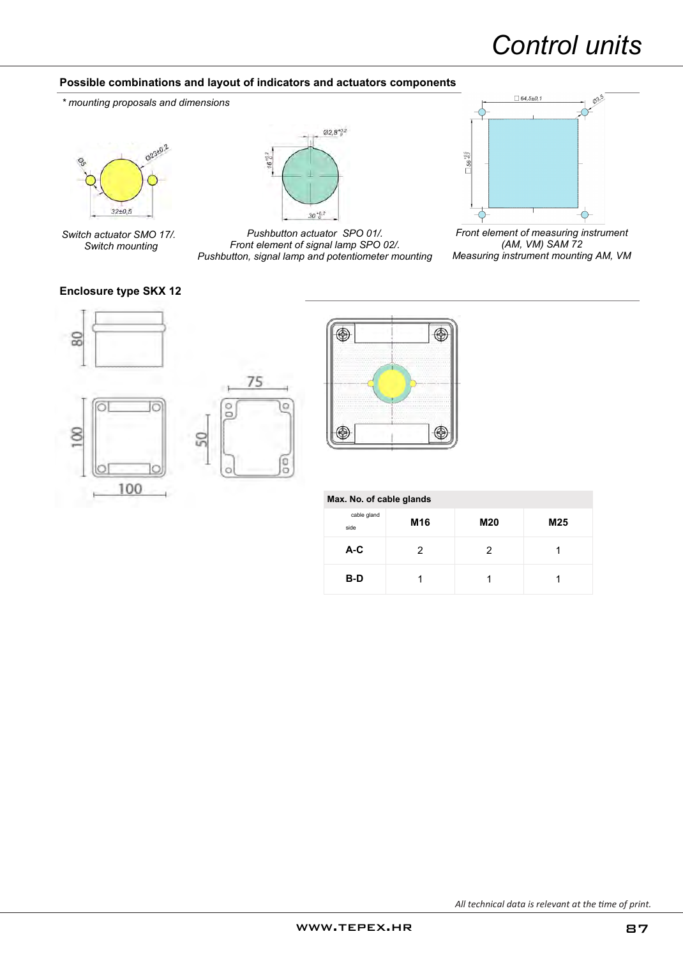# *Control units*

#### **Possible combinations and layout of indicators and actuators components**

*\* mounting proposals and dimensions*



*Switch actuator SMO 17/. Switch mounting*



*Pushbutton actuator SPO 01/. Front element of signal lamp SPO 02/. Pushbutton, signal lamp and potentiometer mounting*



*Front element of measuring instrument (AM, VM) SAM 72 Measuring instrument mounting AM, VM*

#### **Enclosure type SKX 12**







|  |  |  | Max. No. of cable glands |  |  |
|--|--|--|--------------------------|--|--|
|--|--|--|--------------------------|--|--|

| cable gland<br>side | M <sub>16</sub> | M20 | M25 |
|---------------------|-----------------|-----|-----|
| $A-C$               | 2               | 2   |     |
| B-D                 |                 |     |     |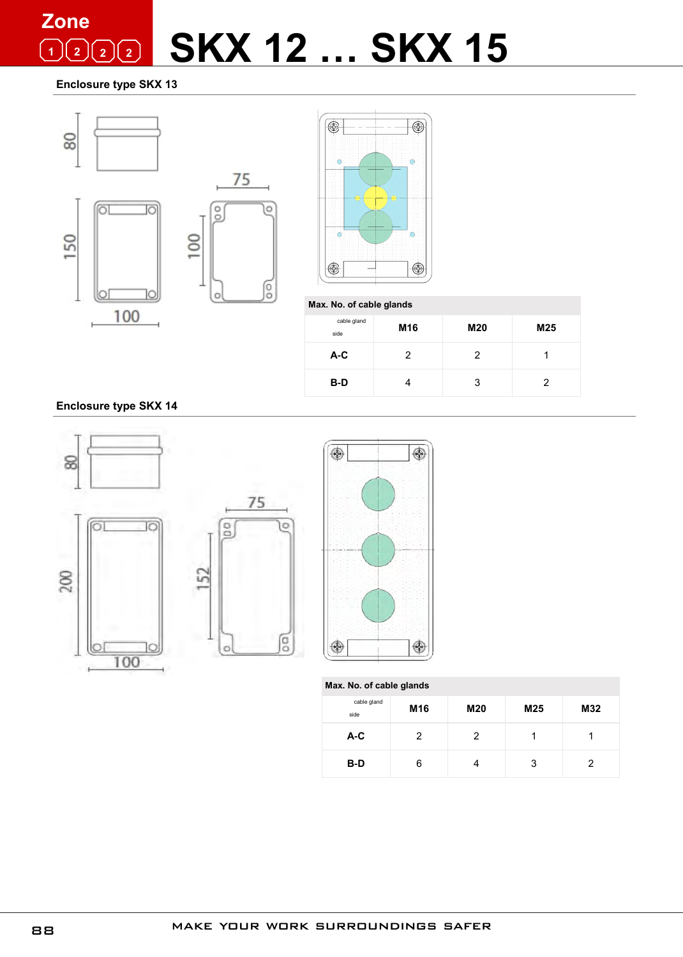### **SKX 12 … SKX 15 Zone**  $\boxed{1}$   $\boxed{2}$   $\boxed{2}$

**Enclosure type SKX 13**





**Max. No. of cable glands**

| cable gland<br>side | M <sub>16</sub> | <b>M20</b> | M25 |
|---------------------|-----------------|------------|-----|
| $A-C$               | 2               | 2          |     |
| B-D                 |                 | 3          | 2   |

**Enclosure type SKX 14**





O

eo

| Max. No. of cable glands |                 |     |                 |     |
|--------------------------|-----------------|-----|-----------------|-----|
| cable gland<br>side      | M <sub>16</sub> | M20 | M <sub>25</sub> | M32 |
| $A-C$                    | 2               |     |                 |     |
| B-D                      | 6               |     | 3               | 2   |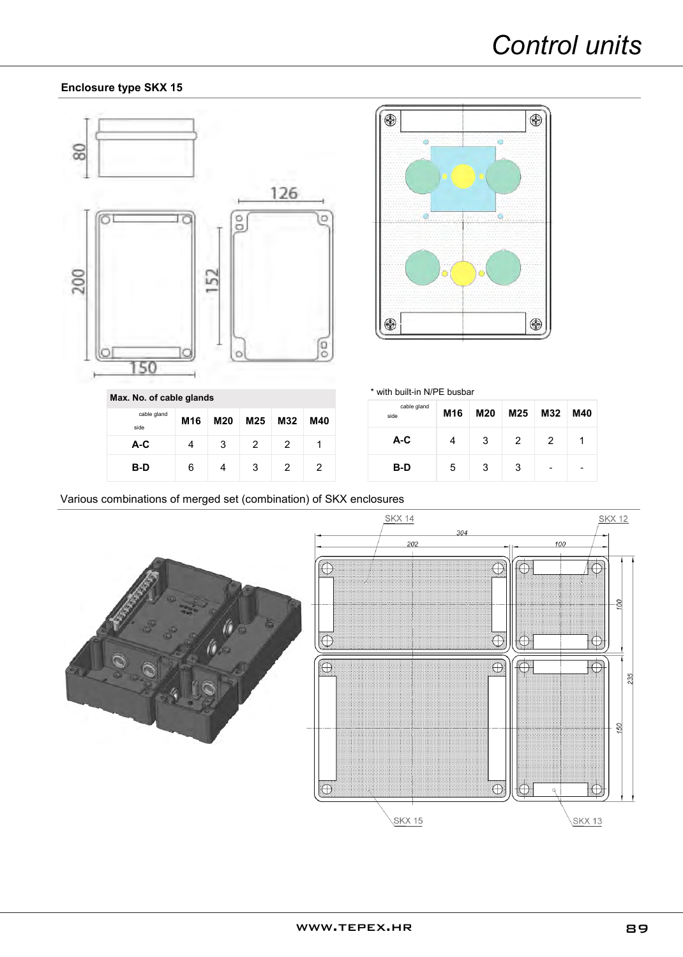#### **Enclosure type SKX 15**





\* with built-in N/PE busbar

| cable gland<br>side | M16 | M20 | M25 | M32                      | M40 |
|---------------------|-----|-----|-----|--------------------------|-----|
| A-C                 |     | 3   | 2   | 2                        |     |
| B-D                 | 5   | 3   | 3   | $\overline{\phantom{0}}$ |     |

**Max. No. of cable glands**

| cable gland<br>side | M16 | M20 | M25 M32 |   | M40 |
|---------------------|-----|-----|---------|---|-----|
| A-C                 |     | 3   | 2       | 2 |     |
| B-D                 | 6   |     | 3       | 2 | 2   |

Various combinations of merged set (combination) of SKX enclosures



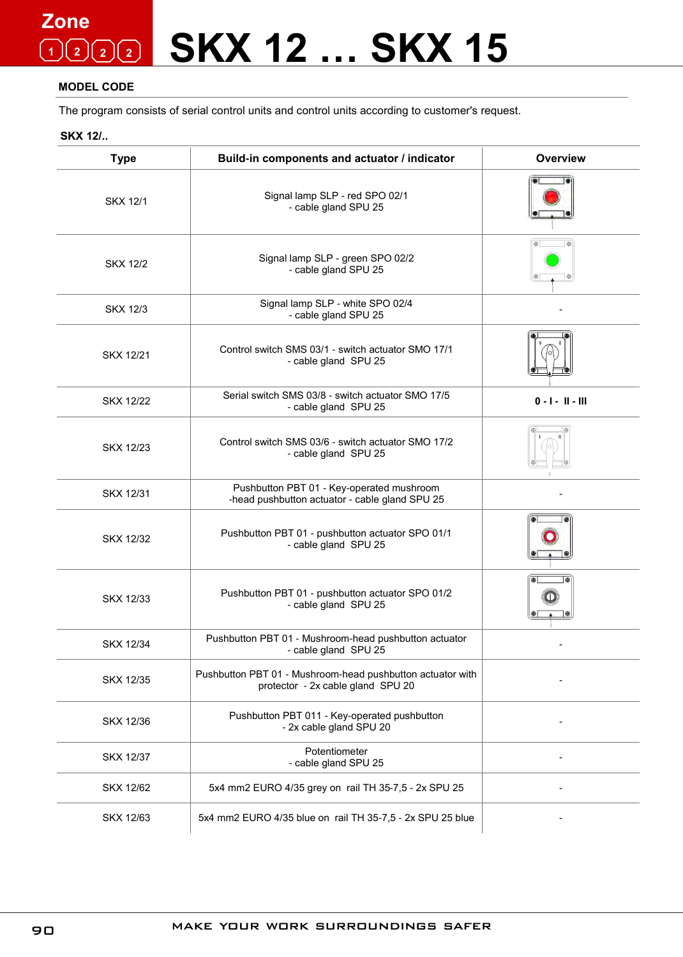### **SKX 12 … SKX 15 Zone 1 2 2 2**

#### **MODEL CODE**

The program consists of serial control units and control units according to customer's request.

**SKX 12/..**

| <b>Type</b>      | Build-in components and actuator / indicator                                                    | Overview           |
|------------------|-------------------------------------------------------------------------------------------------|--------------------|
| <b>SKX 12/1</b>  | Signal lamp SLP - red SPO 02/1<br>- cable gland SPU 25                                          |                    |
| <b>SKX 12/2</b>  | Signal lamp SLP - green SPO 02/2<br>- cable gland SPU 25                                        |                    |
| <b>SKX 12/3</b>  | Signal lamp SLP - white SPO 02/4<br>- cable gland SPU 25                                        |                    |
| SKX 12/21        | Control switch SMS 03/1 - switch actuator SMO 17/1<br>- cable gland SPU 25                      |                    |
| <b>SKX 12/22</b> | Serial switch SMS 03/8 - switch actuator SMO 17/5<br>- cable gland SPU 25                       | $0 - 1 - 11 - 111$ |
| SKX 12/23        | Control switch SMS 03/6 - switch actuator SMO 17/2<br>- cable gland SPU 25                      |                    |
| SKX 12/31        | Pushbutton PBT 01 - Key-operated mushroom<br>-head pushbutton actuator - cable gland SPU 25     |                    |
| SKX 12/32        | Pushbutton PBT 01 - pushbutton actuator SPO 01/1<br>- cable gland SPU 25                        |                    |
| <b>SKX 12/33</b> | Pushbutton PBT 01 - pushbutton actuator SPO 01/2<br>- cable gland SPU 25                        |                    |
| <b>SKX 12/34</b> | Pushbutton PBT 01 - Mushroom-head pushbutton actuator<br>- cable gland SPU 25                   |                    |
| SKX 12/35        | Pushbutton PBT 01 - Mushroom-head pushbutton actuator with<br>protector - 2x cable gland SPU 20 |                    |
| SKX 12/36        | Pushbutton PBT 011 - Key-operated pushbutton<br>- 2x cable gland SPU 20                         |                    |
| SKX 12/37        | Potentiometer<br>- cable gland SPU 25                                                           |                    |
| SKX 12/62        | 5x4 mm2 EURO 4/35 grey on rail TH 35-7,5 - 2x SPU 25                                            |                    |
| SKX 12/63        | 5x4 mm2 EURO 4/35 blue on rail TH 35-7,5 - 2x SPU 25 blue                                       |                    |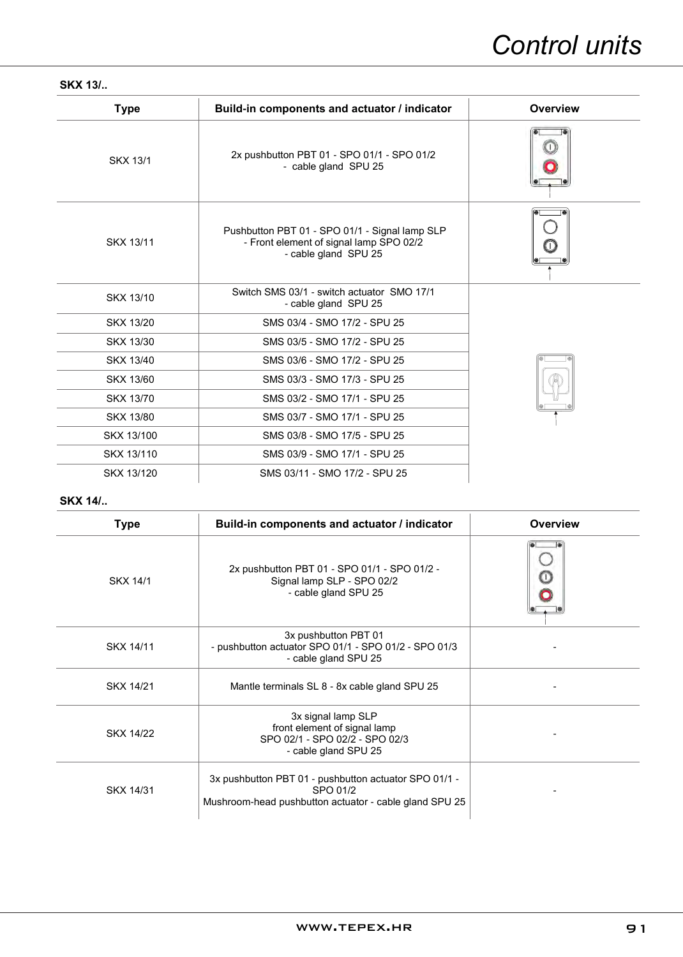#### **SKX 13/..**

| <b>Type</b>      | Build-in components and actuator / indicator                                                                      | <b>Overview</b> |
|------------------|-------------------------------------------------------------------------------------------------------------------|-----------------|
| <b>SKX 13/1</b>  | 2x pushbutton PBT 01 - SPO 01/1 - SPO 01/2<br>- cable gland SPU 25                                                |                 |
| SKX 13/11        | Pushbutton PBT 01 - SPO 01/1 - Signal lamp SLP<br>- Front element of signal lamp SPO 02/2<br>- cable gland SPU 25 |                 |
| SKX 13/10        | Switch SMS 03/1 - switch actuator SMO 17/1<br>- cable gland SPU 25                                                |                 |
| SKX 13/20        | SMS 03/4 - SMO 17/2 - SPU 25                                                                                      |                 |
| SKX 13/30        | SMS 03/5 - SMO 17/2 - SPU 25                                                                                      |                 |
| SKX 13/40        | SMS 03/6 - SMO 17/2 - SPU 25                                                                                      |                 |
| <b>SKX 13/60</b> | SMS 03/3 - SMO 17/3 - SPU 25                                                                                      |                 |
| <b>SKX 13/70</b> | SMS 03/2 - SMO 17/1 - SPU 25                                                                                      |                 |
| <b>SKX 13/80</b> | SMS 03/7 - SMO 17/1 - SPU 25                                                                                      |                 |
| SKX 13/100       | SMS 03/8 - SMO 17/5 - SPU 25                                                                                      |                 |
| SKX 13/110       | SMS 03/9 - SMO 17/1 - SPU 25                                                                                      |                 |
| SKX 13/120       | SMS 03/11 - SMO 17/2 - SPU 25                                                                                     |                 |

#### **SKX 14/..**

| <b>Type</b>      | Build-in components and actuator / indicator                                                                                | Overview |
|------------------|-----------------------------------------------------------------------------------------------------------------------------|----------|
| SKX 14/1         | 2x pushbutton PBT 01 - SPO 01/1 - SPO 01/2 -<br>Signal lamp SLP - SPO 02/2<br>- cable gland SPU 25                          |          |
| SKX 14/11        | 3x pushbutton PBT 01<br>- pushbutton actuator SPO 01/1 - SPO 01/2 - SPO 01/3<br>- cable gland SPU 25                        |          |
| SKX 14/21        | Mantle terminals SL 8 - 8x cable gland SPU 25                                                                               |          |
| <b>SKX 14/22</b> | 3x signal lamp SLP<br>front element of signal lamp<br>SPO 02/1 - SPO 02/2 - SPO 02/3<br>- cable gland SPU 25                |          |
| SKX 14/31        | 3x pushbutton PBT 01 - pushbutton actuator SPO 01/1 -<br>SPO 01/2<br>Mushroom-head pushbutton actuator - cable gland SPU 25 |          |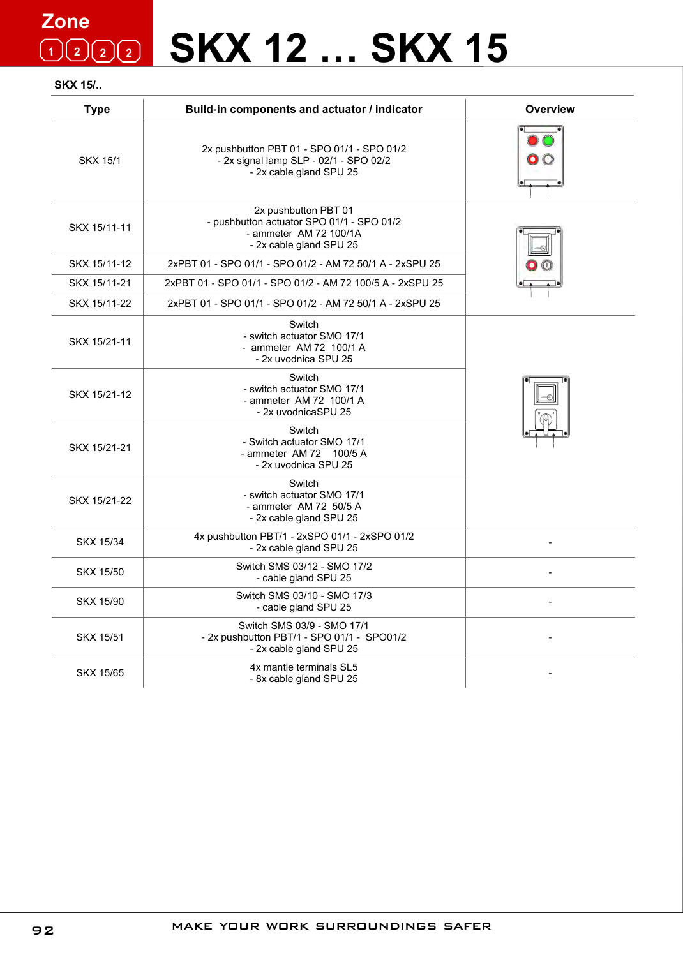### **SKX 12 … SKX 15 Zone 1 2 2 2**

#### **SKX 15/..**

| <b>Type</b>      | Build-in components and actuator / indicator                                                                           | <b>Overview</b> |
|------------------|------------------------------------------------------------------------------------------------------------------------|-----------------|
| <b>SKX 15/1</b>  | 2x pushbutton PBT 01 - SPO 01/1 - SPO 01/2<br>- 2x signal lamp SLP - 02/1 - SPO 02/2<br>- 2x cable gland SPU 25        |                 |
| SKX 15/11-11     | 2x pushbutton PBT 01<br>- pushbutton actuator SPO 01/1 - SPO 01/2<br>- ammeter AM 72 100/1A<br>- 2x cable gland SPU 25 |                 |
| SKX 15/11-12     | 2xPBT 01 - SPO 01/1 - SPO 01/2 - AM 72 50/1 A - 2xSPU 25                                                               |                 |
| SKX 15/11-21     | 2xPBT 01 - SPO 01/1 - SPO 01/2 - AM 72 100/5 A - 2xSPU 25                                                              |                 |
| SKX 15/11-22     | 2xPBT 01 - SPO 01/1 - SPO 01/2 - AM 72 50/1 A - 2xSPU 25                                                               |                 |
| SKX 15/21-11     | Switch<br>- switch actuator SMO 17/1<br>- ammeter AM 72 100/1 A<br>- 2x uvodnica SPU 25                                |                 |
| SKX 15/21-12     | Switch<br>- switch actuator SMO 17/1<br>- ammeter AM 72 100/1 A<br>- 2x uvodnicaSPU 25                                 |                 |
| SKX 15/21-21     | Switch<br>- Switch actuator SMO 17/1<br>- ammeter AM 72 100/5 A<br>- 2x uvodnica SPU 25                                |                 |
| SKX 15/21-22     | Switch<br>- switch actuator SMO 17/1<br>- ammeter AM 72 50/5 A<br>- 2x cable gland SPU 25                              |                 |
| SKX 15/34        | 4x pushbutton PBT/1 - 2xSPO 01/1 - 2xSPO 01/2<br>- 2x cable gland SPU 25                                               |                 |
| <b>SKX 15/50</b> | Switch SMS 03/12 - SMO 17/2<br>- cable gland SPU 25                                                                    |                 |
| <b>SKX 15/90</b> | Switch SMS 03/10 - SMO 17/3<br>- cable gland SPU 25                                                                    |                 |
| <b>SKX 15/51</b> | Switch SMS 03/9 - SMO 17/1<br>- 2x pushbutton PBT/1 - SPO 01/1 - SPO01/2<br>- 2x cable gland SPU 25                    |                 |
| <b>SKX 15/65</b> | 4x mantle terminals SL5<br>- 8x cable gland SPU 25                                                                     |                 |